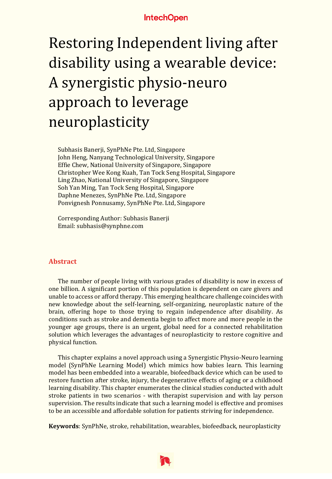# Restoring Independent living after disability using a wearable device: A synergistic physio-neuro approach to leverage neuroplasticity

Subhasis Banerji, SynPhNe Pte. Ltd, Singapore John Heng, Nanyang Technological University, Singapore Effie Chew, National University of Singapore, Singapore Christopher Wee Kong Kuah, Tan Tock Seng Hospital, Singapore Ling Zhao, National University of Singapore, Singapore Soh Yan Ming, Tan Tock Seng Hospital, Singapore Daphne Menezes, SynPhNe Pte. Ltd, Singapore Ponvignesh Ponnusamy, SynPhNe Pte. Ltd, Singapore

Corresponding Author: Subhasis Banerji Email: subhasis@synphne.com

#### **Abstract**

The number of people living with various grades of disability is now in excess of one billion. A significant portion of this population is dependent on care givers and unable to access or afford therapy. This emerging healthcare challenge coincides with new knowledge about the self-learning, self-organizing, neuroplastic nature of the brain, offering hope to those trying to regain independence after disability. As conditions such as stroke and dementia begin to affect more and more people in the younger age groups, there is an urgent, global need for a connected rehabilitation solution which leverages the advantages of neuroplasticity to restore cognitive and physical function.

This chapter explains a novel approach using a Synergistic Physio-Neuro learning model (SynPhNe Learning Model) which mimics how babies learn. This learning model has been embedded into a wearable, biofeedback device which can be used to restore function after stroke, injury, the degenerative effects of aging or a childhood learning disability. This chapter enumerates the clinical studies conducted with adult stroke patients in two scenarios - with therapist supervision and with lay person supervision. The results indicate that such a learning model is effective and promises to be an accessible and affordable solution for patients striving for independence.

**Keywords**: SynPhNe, stroke, rehabilitation, wearables, biofeedback, neuroplasticity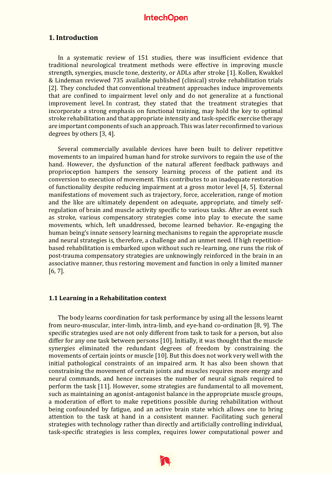#### **1. Introduction**

In a systematic review of 151 studies, there was insufficient evidence that traditional neurological treatment methods were effective in improving muscle strength, synergies, muscle tone, dexterity, or ADLs after stroke [1]. Kollen, Kwakkel & Lindeman reviewed 735 available published (clinical) stroke rehabilitation trials [2]. They concluded that conventional treatment approaches induce improvements that are confined to impairment level only and do not generalize at a functional improvement level. In contrast, they stated that the treatment strategies that incorporate a strong emphasis on functional training, may hold the key to optimal stroke rehabilitation and that appropriate intensity and task-specific exercise therapy are important components of such an approach. This was later reconfirmed to various degrees by others [3, 4].

Several commercially available devices have been built to deliver repetitive movements to an impaired human hand for stroke survivors to regain the use of the hand. However, the dysfunction of the natural afferent feedback pathways and proprioception hampers the sensory learning process of the patient and its conversion to execution of movement. This contributes to an inadequate restoration of functionality despite reducing impairment at a gross motor level [4, 5]. External manifestations of movement such as trajectory, force, acceleration, range of motion and the like are ultimately dependent on adequate, appropriate, and timely selfregulation of brain and muscle activity specific to various tasks. After an event such as stroke, various compensatory strategies come into play to execute the same movements, which, left unaddressed, become learned behavior. Re-engaging the human being's innate sensory learning mechanisms to regain the appropriate muscle and neural strategies is, therefore, a challenge and an unmet need. If high repetitionbased rehabilitation is embarked upon without such re-learning, one runs the risk of post-trauma compensatory strategies are unknowingly reinforced in the brain in an associative manner, thus restoring movement and function in only a limited manner [6, 7].

#### **1.1 Learning in a Rehabilitation context**

The body learns coordination for task performance by using all the lessons learnt from neuro-muscular, inter-limb, intra-limb, and eye-hand co-ordination [8, 9]. The specific strategies used are not only different from task to task for a person, but also differ for any one task between persons [10]. Initially, it was thought that the muscle synergies eliminated the redundant degrees of freedom by constraining the movements of certain joints or muscle [10]. But this does not work very well with the initial pathological constraints of an impaired arm. It has also been shown that constraining the movement of certain joints and muscles requires more energy and neural commands, and hence increases the number of neural signals required to perform the task [11]. However, some strategies are fundamental to all movement, such as maintaining an agonist-antagonist balance in the appropriate muscle groups, a moderation of effort to make repetitions possible during rehabilitation without being confounded by fatigue, and an active brain state which allows one to bring attention to the task at hand in a consistent manner. Facilitating such general strategies with technology rather than directly and artificially controlling individual, task-specific strategies is less complex, requires lower computational power and

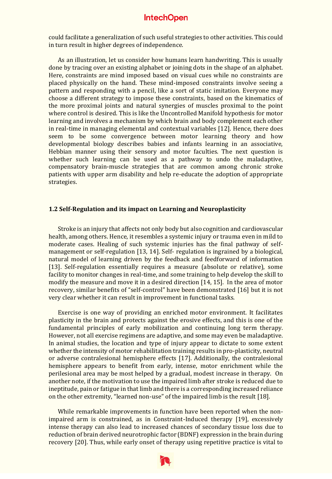could facilitate a generalization of such useful strategies to other activities. This could in turn result in higher degrees of independence.

As an illustration, let us consider how humans learn handwriting. This is usually done by tracing over an existing alphabet or joining dots in the shape of an alphabet. Here, constraints are mind imposed based on visual cues while no constraints are placed physically on the hand. These mind-imposed constraints involve seeing a pattern and responding with a pencil, like a sort of static imitation. Everyone may choose a different strategy to impose these constraints, based on the kinematics of the more proximal joints and natural synergies of muscles proximal to the point where control is desired. This is like the Uncontrolled Manifold hypothesis for motor learning and involves a mechanism by which brain and body complement each other in real-time in managing elemental and contextual variables [12]. Hence, there does seem to be some convergence between motor learning theory and how developmental biology describes babies and infants learning in an associative, Hebbian manner using their sensory and motor faculties. The next question is whether such learning can be used as a pathway to undo the maladaptive, compensatory brain-muscle strategies that are common among chronic stroke patients with upper arm disability and help re-educate the adoption of appropriate strategies.

#### **1.2 Self-Regulation and its impact on Learning and Neuroplasticity**

Stroke is an injury that affects not only body but also cognition and cardiovascular health, among others. Hence, it resembles a systemic injury or trauma even in mild to moderate cases. Healing of such systemic injuries has the final pathway of selfmanagement or self-regulation [13, 14]. Self- regulation is ingrained by a biological, natural model of learning driven by the feedback and feedforward of information [13]. Self-regulation essentially requires a measure (absolute or relative), some facility to monitor changes in real-time, and some training to help develop the skill to modify the measure and move it in a desired direction [14, 15]. In the area of motor recovery, similar benefits of "self-control" have been demonstrated [16] but it is not very clear whether it can result in improvement in functional tasks.

Exercise is one way of providing an enriched motor environment. It facilitates plasticity in the brain and protects against the erosive effects, and this is one of the fundamental principles of early mobilization and continuing long term therapy. However, not all exercise regimens are adaptive, and some may even be maladaptive. In animal studies, the location and type of injury appear to dictate to some extent whether the intensity of motor rehabilitation training results in pro-plasticity, neutral or adverse contralesional hemisphere effects [17]. Additionally, the contralesional hemisphere appears to benefit from early, intense, motor enrichment while the perilesional area may be most helped by a gradual, modest increase in therapy. On another note, if the motivation to use the impaired limb after stroke is reduced due to ineptitude, pain or fatigue in that limb and there is a corresponding increased reliance on the other extremity, "learned non-use" of the impaired limb is the result [18].

While remarkable improvements in function have been reported when the nonimpaired arm is constrained, as in Constraint-Induced therapy [19], excessively intense therapy can also lead to increased chances of secondary tissue loss due to reduction of brain derived neurotrophic factor (BDNF) expression in the brain during recovery [20]. Thus, while early onset of therapy using repetitive practice is vital to

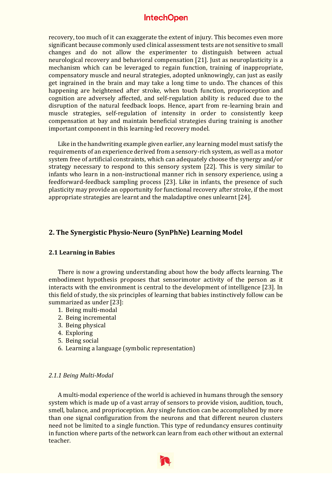recovery, too much of it can exaggerate the extent of injury. This becomes even more significant because commonly used clinical assessment tests are not sensitive to small changes and do not allow the experimenter to distinguish between actual neurological recovery and behavioral compensation [21]. Just as neuroplasticity is a mechanism which can be leveraged to regain function, training of inappropriate, compensatory muscle and neural strategies, adopted unknowingly, can just as easily get ingrained in the brain and may take a long time to undo. The chances of this happening are heightened after stroke, when touch function, proprioception and cognition are adversely affected, and self-regulation ability is reduced due to the disruption of the natural feedback loops. Hence, apart from re-learning brain and muscle strategies, self-regulation of intensity in order to consistently keep compensation at bay and maintain beneficial strategies during training is another important component in this learning-led recovery model.

Like in the handwriting example given earlier, any learning model must satisfy the requirements of an experience derived from a sensory-rich system, as well as a motor system free of artificial constraints, which can adequately choose the synergy and/or strategy necessary to respond to this sensory system [22]. This is very similar to infants who learn in a non-instructional manner rich in sensory experience, using a feedforward-feedback sampling process [23]. Like in infants, the presence of such plasticity may provide an opportunity for functional recovery after stroke, if the most appropriate strategies are learnt and the maladaptive ones unlearnt [24].

#### **2. The Synergistic Physio-Neuro (SynPhNe) Learning Model**

#### **2.1 Learning in Babies**

There is now a growing understanding about how the body affects learning. The embodiment hypothesis proposes that sensorimotor activity of the person as it interacts with the environment is central to the development of intelligence [23]. In this field of study, the six principles of learning that babies instinctively follow can be summarized as under [23]:

- 1. Being multi-modal
- 2. Being incremental
- 3. Being physical
- 4. Exploring
- 5. Being social
- 6. Learning a language (symbolic representation)

#### *2.1.1 Being Multi-Modal*

A multi-modal experience of the world is achieved in humans through the sensory system which is made up of a vast array of sensors to provide vision, audition, touch, smell, balance, and proprioception. Any single function can be accomplished by more than one signal configuration from the neurons and that different neuron clusters need not be limited to a single function. This type of redundancy ensures continuity in function where parts of the network can learn from each other without an external teacher.

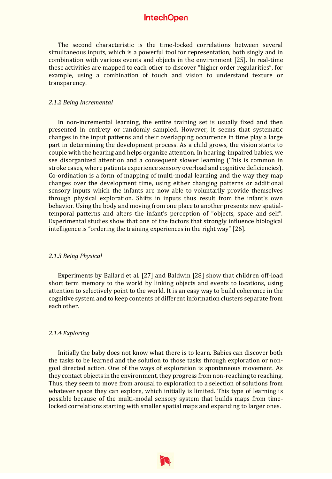The second characteristic is the time-locked correlations between several simultaneous inputs, which is a powerful tool for representation, both singly and in combination with various events and objects in the environment [25]. In real-time these activities are mapped to each other to discover "higher order regularities", for example, using a combination of touch and vision to understand texture or transparency.

#### *2.1.2 Being Incremental*

In non-incremental learning, the entire training set is usually fixed and then presented in entirety or randomly sampled. However, it seems that systematic changes in the input patterns and their overlapping occurrence in time play a large part in determining the development process. As a child grows, the vision starts to couple with the hearing and helps organize attention. In hearing-impaired babies, we see disorganized attention and a consequent slower learning (This is common in stroke cases, where patients experience sensory overload and cognitive deficiencies). Co-ordination is a form of mapping of multi-modal learning and the way they map changes over the development time, using either changing patterns or additional sensory inputs which the infants are now able to voluntarily provide themselves through physical exploration. Shifts in inputs thus result from the infant's own behavior. Using the body and moving from one place to another presents new spatialtemporal patterns and alters the infant's perception of "objects, space and self". Experimental studies show that one of the factors that strongly influence biological intelligence is "ordering the training experiences in the right way" [26].

#### *2.1.3 Being Physical*

Experiments by Ballard et al. [27] and Baldwin [28] show that children off-load short term memory to the world by linking objects and events to locations, using attention to selectively point to the world. It is an easy way to build coherence in the cognitive system and to keep contents of different information clusters separate from each other.

#### *2.1.4 Exploring*

Initially the baby does not know what there is to learn. Babies can discover both the tasks to be learned and the solution to those tasks through exploration or nongoal directed action. One of the ways of exploration is spontaneous movement. As they contact objects in the environment, they progress from non-reaching to reaching. Thus, they seem to move from arousal to exploration to a selection of solutions from whatever space they can explore, which initially is limited. This type of learning is possible because of the multi-modal sensory system that builds maps from timelocked correlations starting with smaller spatial maps and expanding to larger ones.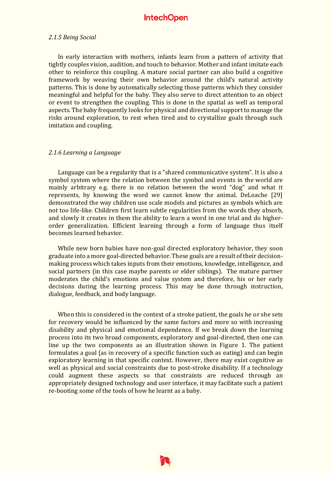#### *2.1.5 Being Social*

In early interaction with mothers, infants learn from a pattern of activity that tightly couples vision, audition, and touch to behavior. Mother and infant imitate each other to reinforce this coupling. A mature social partner can also build a cognitive framework by weaving their own behavior around the child's natural activity patterns. This is done by automatically selecting those patterns which they consider meaningful and helpful for the baby. They also serve to direct attention to an object or event to strengthen the coupling. This is done in the spatial as well as temporal aspects. The baby frequently looks for physical and directional support to manage the risks around exploration, to rest when tired and to crystallize goals through such imitation and coupling.

#### *2.1.6 Learning a Language*

Language can be a regularity that is a "shared communicative system". It is also a symbol system where the relation between the symbol and events in the world are mainly arbitrary e.g. there is no relation between the word "dog" and what it represents, by knowing the word we cannot know the animal. DeLoache [29] demonstrated the way children use scale models and pictures as symbols which are not too life-like. Children first learn subtle regularities from the words they absorb, and slowly it creates in them the ability to learn a word in one trial and do higherorder generalization. Efficient learning through a form of language thus itself becomes learned behavior.

While new born babies have non-goal directed exploratory behavior, they soon graduate into a more goal-directed behavior. These goals are a result of their decisionmaking process which takes inputs from their emotions, knowledge, intelligence, and social partners (in this case maybe parents or elder siblings). The mature partner moderates the child's emotions and value system and therefore, his or her early decisions during the learning process. This may be done through instruction, dialogue, feedback, and body language.

When this is considered in the context of a stroke patient, the goals he or she sets for recovery would be influenced by the same factors and more so with increasing disability and physical and emotional dependence. If we break down the learning process into its two broad components, exploratory and goal-directed, then one can line up the two components as an illustration shown in Figure 1. The patient formulates a goal (as in recovery of a specific function such as eating) and can begin exploratory learning in that specific context. However, there may exist cognitive as well as physical and social constraints due to post-stroke disability. If a technology could augment these aspects so that constraints are reduced through an appropriately designed technology and user interface, it may facilitate such a patient re-booting some of the tools of how he learnt as a baby.

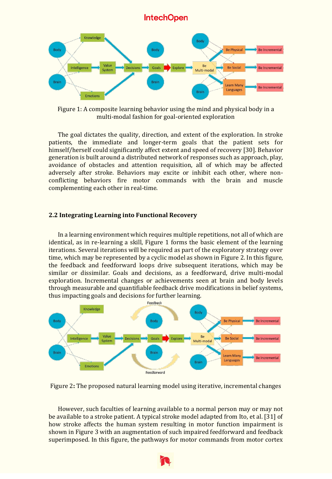

Figure 1: A composite learning behavior using the mind and physical body in a multi-modal fashion for goal-oriented exploration

The goal dictates the quality, direction, and extent of the exploration. In stroke patients, the immediate and longer-term goals that the patient sets for himself/herself could significantly affect extent and speed of recovery [30]. Behavior generation is built around a distributed network of responses such as approach, play, avoidance of obstacles and attention requisition, all of which may be affected adversely after stroke. Behaviors may excite or inhibit each other, where nonconflicting behaviors fire motor commands with the brain and muscle complementing each other in real-time.

#### **2.2 Integrating Learning into Functional Recovery**

In a learning environment which requires multiple repetitions, not all of which are identical, as in re-learning a skill, Figure 1 forms the basic element of the learning iterations. Several iterations will be required as part of the exploratory strategy over time, which may be represented by a cyclic model as shown in Figure 2. In this figure, the feedback and feedforward loops drive subsequent iterations, which may be similar or dissimilar. Goals and decisions, as a feedforward, drive multi-modal exploration. Incremental changes or achievements seen at brain and body levels through measurable and quantifiable feedback drive modifications in belief systems, thus impacting goals and decisions for further learning.



Figure 2**:** The proposed natural learning model using iterative, incremental changes

However, such faculties of learning available to a normal person may or may not be available to a stroke patient. A typical stroke model adapted from Ito, et al. [31] of how stroke affects the human system resulting in motor function impairment is shown in Figure 3 with an augmentation of such impaired feedforward and feedback superimposed. In this figure, the pathways for motor commands from motor cortex

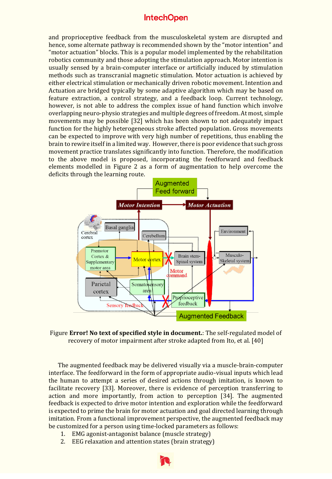and proprioceptive feedback from the musculoskeletal system are disrupted and hence, some alternate pathway is recommended shown by the "motor intention" and "motor actuation" blocks. This is a popular model implemented by the rehabilitation robotics community and those adopting the stimulation approach. Motor intention is usually sensed by a brain-computer interface or artificially induced by stimulation methods such as transcranial magnetic stimulation. Motor actuation is achieved by either electrical stimulation or mechanically driven robotic movement. Intention and Actuation are bridged typically by some adaptive algorithm which may be based on feature extraction, a control strategy, and a feedback loop. Current technology, however, is not able to address the complex issue of hand function which involve overlapping neuro-physio strategies and multiple degrees of freedom. At most, simple movements may be possible [32] which has been shown to not adequately impact function for the highly heterogeneous stroke affected population. Gross movements can be expected to improve with very high number of repetitions, thus enabling the brain to rewire itself in a limited way. However, there is poor evidence that such gross movement practice translates significantly into function. Therefore, the modification to the above model is proposed, incorporating the feedforward and feedback elements modelled in Figure 2 as a form of augmentation to help overcome the deficits through the learning route.



Figure **Error! No text of specified style in document.**: The self-regulated model of recovery of motor impairment after stroke adapted from Ito, et al. [40]

The augmented feedback may be delivered visually via a muscle-brain-computer interface. The feedforward in the form of appropriate audio-visual inputs which lead the human to attempt a series of desired actions through imitation, is known to facilitate recovery [33]. Moreover, there is evidence of perception transferring to action and more importantly, from action to perception [34]. The augmented feedback is expected to drive motor intention and exploration while the feedforward is expected to prime the brain for motor actuation and goal directed learning through imitation. From a functional improvement perspective, the augmented feedback may be customized for a person using time-locked parameters as follows:

- 1. EMG agonist-antagonist balance (muscle strategy)
- 2. EEG relaxation and attention states (brain strategy)

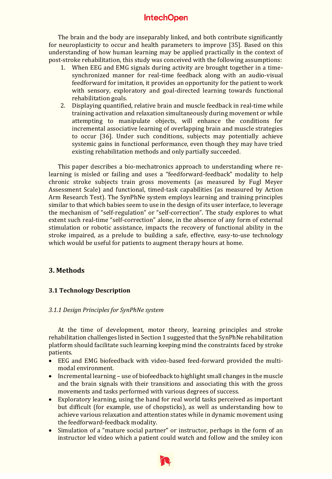The brain and the body are inseparably linked, and both contribute significantly for neuroplasticity to occur and health parameters to improve [35]. Based on this understanding of how human learning may be applied practically in the context of post-stroke rehabilitation, this study was conceived with the following assumptions:

- 1. When EEG and EMG signals during activity are brought together in a timesynchronized manner for real-time feedback along with an audio-visual feedforward for imitation, it provides an opportunity for the patient to work with sensory, exploratory and goal-directed learning towards functional rehabilitation goals.
- 2. Displaying quantified, relative brain and muscle feedback in real-time while training activation and relaxation simultaneously during movement or while attempting to manipulate objects, will enhance the conditions for incremental associative learning of overlapping brain and muscle strategies to occur [36]. Under such conditions, subjects may potentially achieve systemic gains in functional performance, even though they may have tried existing rehabilitation methods and only partially succeeded.

This paper describes a bio-mechatronics approach to understanding where relearning is misled or failing and uses a "feedforward-feedback" modality to help chronic stroke subjects train gross movements (as measured by Fugl Meyer Assessment Scale) and functional, timed-task capabilities (as measured by Action Arm Research Test). The SynPhNe system employs learning and training principles similar to that which babies seem to use in the design of its user interface, to leverage the mechanism of "self-regulation" or "self-correction". The study explores to what extent such real-time "self-correction" alone, in the absence of any form of external stimulation or robotic assistance, impacts the recovery of functional ability in the stroke impaired, as a prelude to building a safe, effective, easy-to-use technology which would be useful for patients to augment therapy hours at home.

# **3. Methods**

#### **3.1 Technology Description**

#### *3.1.1 Design Principles for SynPhNe system*

At the time of development, motor theory, learning principles and stroke rehabilitation challenges listed in Section 1 suggested that the SynPhNe rehabilitation platform should facilitate such learning keeping mind the constraints faced by stroke patients.

- EEG and EMG biofeedback with video-based feed-forward provided the multimodal environment.
- Incremental learning use of biofeedback to highlight small changes in the muscle and the brain signals with their transitions and associating this with the gross movements and tasks performed with various degrees of success.
- Exploratory learning, using the hand for real world tasks perceived as important but difficult (for example, use of chopsticks), as well as understanding how to achieve various relaxation and attention states while in dynamic movement using the feedforward-feedback modality.
- Simulation of a "mature social partner" or instructor, perhaps in the form of an instructor led video which a patient could watch and follow and the smiley icon

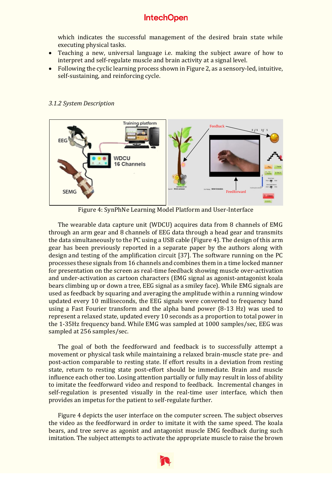which indicates the successful management of the desired brain state while executing physical tasks.

- Teaching a new, universal language i.e. making the subject aware of how to interpret and self-regulate muscle and brain activity at a signal level.
- Following the cyclic learning process shown in Figure 2, as a sensory-led, intuitive, self-sustaining, and reinforcing cycle.



#### *3.1.2 System Description*

Figure 4: SynPhNe Learning Model Platform and User-Interface

The wearable data capture unit (WDCU) acquires data from 8 channels of EMG through an arm gear and 8 channels of EEG data through a head gear and transmits the data simultaneously to the PC using a USB cable (Figure 4). The design of this arm gear has been previously reported in a separate paper by the authors along with design and testing of the amplification circuit [37]. The software running on the PC processes these signals from 16 channels and combines them in a time locked manner for presentation on the screen as real-time feedback showing muscle over-activation and under-activation as cartoon characters (EMG signal as agonist-antagonist koala bears climbing up or down a tree, EEG signal as a smiley face). While EMG signals are used as feedback by squaring and averaging the amplitude within a running window updated every 10 milliseconds, the EEG signals were converted to frequency band using a Fast Fourier transform and the alpha band power (8-13 Hz) was used to represent a relaxed state, updated every 10 seconds as a proportion to total power in the 1-35Hz frequency band. While EMG was sampled at 1000 samples/sec, EEG was sampled at 256 samples/sec.

The goal of both the feedforward and feedback is to successfully attempt a movement or physical task while maintaining a relaxed brain-muscle state pre- and post-action comparable to resting state. If effort results in a deviation from resting state, return to resting state post-effort should be immediate. Brain and muscle influence each other too. Losing attention partially or fully may result in loss of ability to imitate the feedforward video and respond to feedback. Incremental changes in self-regulation is presented visually in the real-time user interface, which then provides an impetus for the patient to self-regulate further.

Figure 4 depicts the user interface on the computer screen. The subject observes the video as the feedforward in order to imitate it with the same speed. The koala bears, and tree serve as agonist and antagonist muscle EMG feedback during such imitation. The subject attempts to activate the appropriate muscle to raise the brown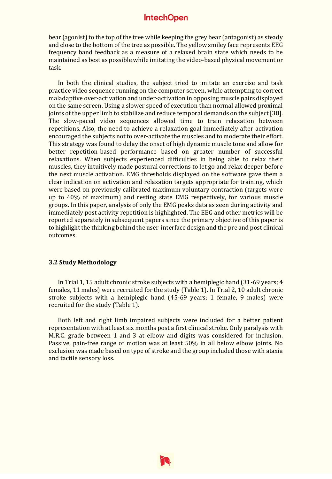bear (agonist) to the top of the tree while keeping the grey bear (antagonist) as steady and close to the bottom of the tree as possible. The yellow smiley face represents EEG frequency band feedback as a measure of a relaxed brain state which needs to be maintained as best as possible while imitating the video-based physical movement or task.

In both the clinical studies, the subject tried to imitate an exercise and task practice video sequence running on the computer screen, while attempting to correct maladaptive over-activation and under-activation in opposing muscle pairs displayed on the same screen. Using a slower speed of execution than normal allowed proximal joints of the upper limb to stabilize and reduce temporal demands on the subject [38]. The slow-paced video sequences allowed time to train relaxation between repetitions. Also, the need to achieve a relaxation goal immediately after activation encouraged the subjects not to over-activate the muscles and to moderate their effort. This strategy was found to delay the onset of high dynamic muscle tone and allow for better repetition-based performance based on greater number of successful relaxations. When subjects experienced difficulties in being able to relax their muscles, they intuitively made postural corrections to let go and relax deeper before the next muscle activation. EMG thresholds displayed on the software gave them a clear indication on activation and relaxation targets appropriate for training, which were based on previously calibrated maximum voluntary contraction (targets were up to 40% of maximum) and resting state EMG respectively, for various muscle groups. In this paper, analysis of only the EMG peaks data as seen during activity and immediately post activity repetition is highlighted. The EEG and other metrics will be reported separately in subsequent papers since the primary objective of this paper is to highlight the thinking behind the user-interface design and the pre and post clinical outcomes.

#### **3.2 Study Methodology**

In Trial 1, 15 adult chronic stroke subjects with a hemiplegic hand (31-69 years; 4 females, 11 males) were recruited for the study (Table 1). In Trial 2, 10 adult chronic stroke subjects with a hemiplegic hand (45-69 years; 1 female, 9 males) were recruited for the study (Table 1).

Both left and right limb impaired subjects were included for a better patient representation with at least six months post a first clinical stroke. Only paralysis with M.R.C. grade between 1 and 3 at elbow and digits was considered for inclusion. Passive, pain-free range of motion was at least 50% in all below elbow joints. No exclusion was made based on type of stroke and the group included those with ataxia and tactile sensory loss.

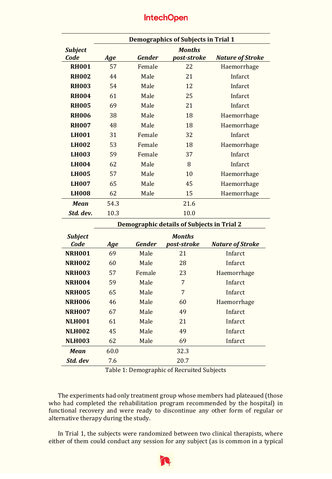|                | <b>Demographics of Subjects in Trial 1</b> |               |               |                         |
|----------------|--------------------------------------------|---------------|---------------|-------------------------|
| <b>Subject</b> |                                            |               | <b>Months</b> |                         |
| Code           | Age                                        | <b>Gender</b> | post-stroke   | <b>Nature of Stroke</b> |
| <b>RH001</b>   | 57                                         | Female        | 22            | Haemorrhage             |
| <b>RH002</b>   | 44                                         | Male          | 21            | Infarct                 |
| <b>RH003</b>   | 54                                         | Male          | 12            | Infarct                 |
| <b>RH004</b>   | 61                                         | Male          | 25            | Infarct                 |
| <b>RH005</b>   | 69                                         | Male          | 21            | Infarct                 |
| <b>RH006</b>   | 38                                         | Male          | 18            | Haemorrhage             |
| <b>RH007</b>   | 48                                         | Male          | 18            | Haemorrhage             |
| <b>LH001</b>   | 31                                         | Female        | 32            | Infarct                 |
| <b>LH002</b>   | 53                                         | Female        | 18            | Haemorrhage             |
| <b>LH003</b>   | 59                                         | Female        | 37            | Infarct                 |
| <b>LH004</b>   | 62                                         | Male          | 8             | Infarct                 |
| <b>LH005</b>   | 57                                         | Male          | 10            | Haemorrhage             |
| <b>LH007</b>   | 65                                         | Male          | 45            | Haemorrhage             |
| <b>LH008</b>   | 62                                         | Male          | 15            | Haemorrhage             |
| <b>Mean</b>    | 54.3                                       |               | 21.6          |                         |
| Std. dev.      | 10.3                                       |               | 10.0          |                         |

|                        | Demographic details of Subjects in Trial 2 |               |                              |                         |
|------------------------|--------------------------------------------|---------------|------------------------------|-------------------------|
| <b>Subject</b><br>Code |                                            | <b>Gender</b> | <b>Months</b><br>post-stroke | <b>Nature of Stroke</b> |
|                        | Age                                        |               |                              |                         |
| <b>NRH001</b>          | 69                                         | Male          | 21                           | Infarct                 |
| <b>NRH002</b>          | 60                                         | Male          | 28                           | Infarct                 |
| <b>NRH003</b>          | 57                                         | Female        | 23                           | Haemorrhage             |
| <b>NRH004</b>          | 59                                         | Male          | 7                            | Infarct                 |
| <b>NRH005</b>          | 65                                         | Male          | 7                            | Infarct                 |
| <b>NRH006</b>          | 46                                         | Male          | 60                           | Haemorrhage             |
| <b>NRH007</b>          | 67                                         | Male          | 49                           | Infarct                 |
| <b>NLH001</b>          | 61                                         | Male          | 21                           | Infarct                 |
| <b>NLH002</b>          | 45                                         | Male          | 49                           | Infarct                 |
| <b>NLH003</b>          | 62                                         | Male          | 69                           | Infarct                 |
| <b>Mean</b>            | 60.0                                       |               | 32.3                         |                         |
| Std. dev               | 7.6                                        |               | 20.7                         |                         |

Table 1: Demographic of Recruited Subjects

The experiments had only treatment group whose members had plateaued (those who had completed the rehabilitation program recommended by the hospital) in functional recovery and were ready to discontinue any other form of regular or alternative therapy during the study.

In Trial 1, the subjects were randomized between two clinical therapists, where either of them could conduct any session for any subject (as is common in a typical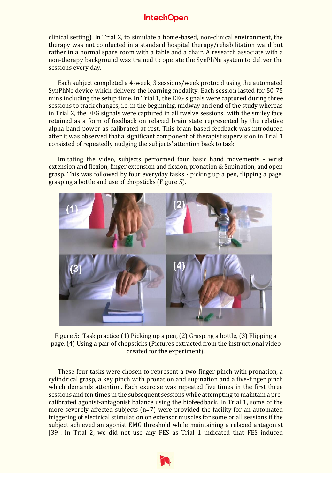clinical setting). In Trial 2, to simulate a home-based, non-clinical environment, the therapy was not conducted in a standard hospital therapy/rehabilitation ward but rather in a normal spare room with a table and a chair. A research associate with a non-therapy background was trained to operate the SynPhNe system to deliver the sessions every day.

Each subject completed a 4-week, 3 sessions/week protocol using the automated SynPhNe device which delivers the learning modality. Each session lasted for 50-75 mins including the setup time. In Trial 1, the EEG signals were captured during three sessions to track changes, i.e. in the beginning, midway and end of the study whereas in Trial 2, the EEG signals were captured in all twelve sessions, with the smiley face retained as a form of feedback on relaxed brain state represented by the relative alpha-band power as calibrated at rest. This brain-based feedback was introduced after it was observed that a significant component of therapist supervision in Trial 1 consisted of repeatedly nudging the subjects' attention back to task.

Imitating the video, subjects performed four basic hand movements - wrist extension and flexion, finger extension and flexion, pronation & Supination, and open grasp. This was followed by four everyday tasks - picking up a pen, flipping a page, grasping a bottle and use of chopsticks (Figure 5).



Figure 5: Task practice (1) Picking up a pen, (2) Grasping a bottle, (3) Flipping a page, (4) Using a pair of chopsticks (Pictures extracted from the instructional video created for the experiment).

These four tasks were chosen to represent a two-finger pinch with pronation, a cylindrical grasp, a key pinch with pronation and supination and a five-finger pinch which demands attention. Each exercise was repeated five times in the first three sessions and ten times in the subsequent sessions while attempting to maintain a precalibrated agonist-antagonist balance using the biofeedback. In Trial 1, some of the more severely affected subjects (n=7) were provided the facility for an automated triggering of electrical stimulation on extensor muscles for some or all sessions if the subject achieved an agonist EMG threshold while maintaining a relaxed antagonist [39]. In Trial 2, we did not use any FES as Trial 1 indicated that FES induced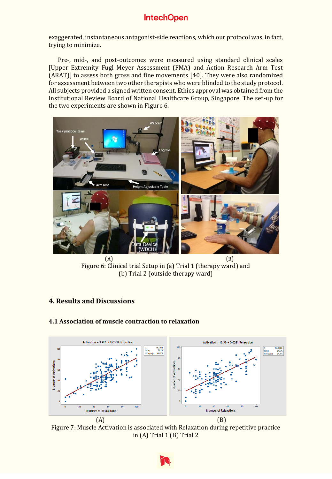exaggerated, instantaneous antagonist-side reactions, which our protocol was, in fact, trying to minimize.

Pre-, mid-, and post-outcomes were measured using standard clinical scales [Upper Extremity Fugl Meyer Assessment (FMA) and Action Research Arm Test (ARAT)] to assess both gross and fine movements [40]. They were also randomized for assessment between two other therapists who were blinded to the study protocol. All subjects provided a signed written consent. Ethics approval was obtained from the Institutional Review Board of National Healthcare Group, Singapore. The set-up for the two experiments are shown in Figure 6.



 $(A)$  (B) Figure 6: Clinical trial Setup in (a) Trial 1 (therapy ward) and (b) Trial 2 (outside therapy ward)

# **4. Results and Discussions**



## **4.1 Association of muscle contraction to relaxation**

Figure 7: Muscle Activation is associated with Relaxation during repetitive practice in (A) Trial 1 (B) Trial 2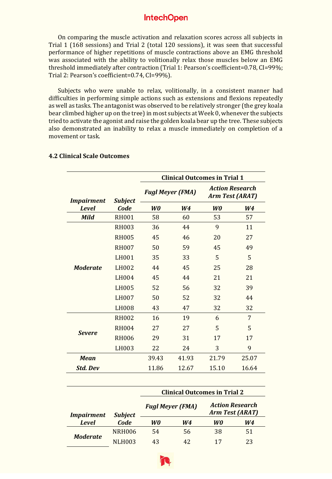On comparing the muscle activation and relaxation scores across all subjects in Trial 1 (168 sessions) and Trial 2 (total 120 sessions), it was seen that successful performance of higher repetitions of muscle contractions above an EMG threshold was associated with the ability to volitionally relax those muscles below an EMG threshold immediately after contraction (Trial 1: Pearson's coefficient=0.78, CI=99%; Trial 2: Pearson's coefficient=0.74, CI=99%).

Subjects who were unable to relax, volitionally, in a consistent manner had difficulties in performing simple actions such as extensions and flexions repeatedly as well as tasks. The antagonist was observed to be relatively stronger (the grey koala bear climbed higher up on the tree) in most subjects at Week 0, whenever the subjects tried to activate the agonist and raise the golden koala bear up the tree. These subjects also demonstrated an inability to relax a muscle immediately on completion of a movement or task.

|                   |                | <b>Clinical Outcomes in Trial 1</b> |                |                                           |                |
|-------------------|----------------|-------------------------------------|----------------|-------------------------------------------|----------------|
| <b>Impairment</b> | <b>Subject</b> | <b>Fugl Meyer (FMA)</b>             |                | <b>Action Research</b><br>Arm Test (ARAT) |                |
| <b>Level</b>      | Code           | W <sub>0</sub>                      | W <sub>4</sub> | W <sub>0</sub>                            | W <sub>4</sub> |
| <b>Mild</b>       | <b>RH001</b>   | 58                                  | 60             | 53                                        | 57             |
|                   | <b>RH003</b>   | 36                                  | 44             | 9                                         | 11             |
|                   | <b>RH005</b>   | 45                                  | 46             | 20                                        | 27             |
|                   | <b>RH007</b>   | 50                                  | 59             | 45                                        | 49             |
|                   | LH001          | 35                                  | 33             | 5                                         | 5              |
| <b>Moderate</b>   | LH002          | 44                                  | 45             | 25                                        | 28             |
|                   | LH004          | 45                                  | 44             | 21                                        | 21             |
|                   | LH005          | 52                                  | 56             | 32                                        | 39             |
|                   | LH007          | 50                                  | 52             | 32                                        | 44             |
|                   | LH008          | 43                                  | 47             | 32                                        | 32             |
|                   | <b>RH002</b>   | 16                                  | 19             | 6                                         | 7              |
| <b>Severe</b>     | <b>RH004</b>   | 27                                  | 27             | 5                                         | 5              |
|                   | <b>RH006</b>   | 29                                  | 31             | 17                                        | 17             |
|                   | LH003          | 22                                  | 24             | 3                                         | 9              |
| <b>Mean</b>       |                | 39.43                               | 41.93          | 21.79                                     | 25.07          |
| <b>Std. Dev</b>   |                | 11.86                               | 12.67          | 15.10                                     | 16.64          |

#### **4.2 Clinical Scale Outcomes**

|                   |                |                | <b>Clinical Outcomes in Trial 2</b> |                        |                        |
|-------------------|----------------|----------------|-------------------------------------|------------------------|------------------------|
| <i>Impairment</i> | <b>Subject</b> |                | <b>Fugl Meyer (FMA)</b>             | <b>Arm Test (ARAT)</b> | <b>Action Research</b> |
| <b>Level</b>      | Code           | W <sub>0</sub> | W <sub>4</sub>                      | W0                     | W4                     |
| <b>Moderate</b>   | NRH006         | 54             | 56                                  | 38                     | 51                     |
|                   | NLH003         | 43             | 42                                  |                        | 23                     |

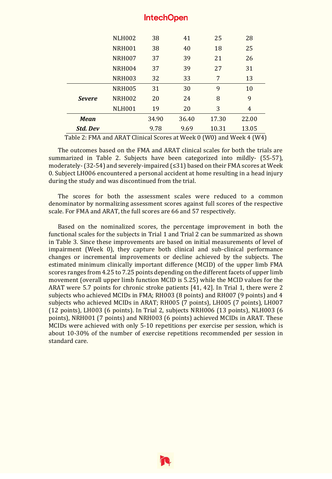|                 | <b>NLH002</b>      | 38    | 41    | 25    | 28             |
|-----------------|--------------------|-------|-------|-------|----------------|
|                 | <b>NRH001</b>      | 38    | 40    | 18    | 25             |
|                 | NRH <sub>007</sub> | 37    | 39    | 21    | 26             |
|                 | <b>NRH004</b>      | 37    | 39    | 27    | 31             |
|                 | <b>NRH003</b>      | 32    | 33    | 7     | 13             |
|                 | <b>NRH005</b>      | 31    | 30    | 9     | 10             |
| <b>Severe</b>   | <b>NRH002</b>      | 20    | 24    | 8     | 9              |
|                 | <b>NLH001</b>      | 19    | 20    | 3     | $\overline{4}$ |
| <b>Mean</b>     |                    | 34.90 | 36.40 | 17.30 | 22.00          |
| <b>Std. Dev</b> |                    | 9.78  | 9.69  | 10.31 | 13.05          |

Table 2: FMA and ARAT Clinical Scores at Week 0 (W0) and Week 4 (W4)

The outcomes based on the FMA and ARAT clinical scales for both the trials are summarized in Table 2. Subjects have been categorized into mildly- (55-57), moderately-(32-54) and severely-impaired  $(\leq 31)$  based on their FMA scores at Week 0. Subject LH006 encountered a personal accident at home resulting in a head injury during the study and was discontinued from the trial.

The scores for both the assessment scales were reduced to a common denominator by normalizing assessment scores against full scores of the respective scale. For FMA and ARAT, the full scores are 66 and 57 respectively.

Based on the nominalized scores, the percentage improvement in both the functional scales for the subjects in Trial 1 and Trial 2 can be summarized as shown in Table 3. Since these improvements are based on initial measurements of level of impairment (Week 0), they capture both clinical and sub-clinical performance changes or incremental improvements or decline achieved by the subjects. The estimated minimum clinically important difference (MCID) of the upper limb FMA scores ranges from 4.25 to 7.25 points depending on the different facets of upper limb movement (overall upper limb function MCID is 5.25) while the MCID values for the ARAT were 5.7 points for chronic stroke patients [41, 42]. In Trial 1, there were 2 subjects who achieved MCIDs in FMA; RH003 (8 points) and RH007 (9 points) and 4 subjects who achieved MCIDs in ARAT; RH005 (7 points), LH005 (7 points), LH007 (12 points), LH003 (6 points). In Trial 2, subjects NRH006 (13 points), NLH003 (6 points), NRH001 (7 points) and NRH003 (6 points) achieved MCIDs in ARAT. These MCIDs were achieved with only 5-10 repetitions per exercise per session, which is about 10-30% of the number of exercise repetitions recommended per session in standard care.

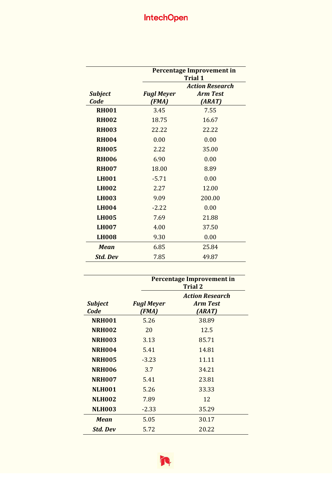|                        | Percentage Improvement in<br><b>Trial 1</b> |                                                     |  |  |
|------------------------|---------------------------------------------|-----------------------------------------------------|--|--|
| <b>Subject</b><br>Code | <b>Fugl Meyer</b><br>(FMA)                  | <b>Action Research</b><br><b>Arm Test</b><br>(ARAT) |  |  |
| <b>RH001</b>           | 3.45                                        | 7.55                                                |  |  |
| <b>RH002</b>           | 18.75                                       | 16.67                                               |  |  |
| <b>RH003</b>           | 22.22                                       | 22.22                                               |  |  |
| <b>RH004</b>           | 0.00                                        | 0.00                                                |  |  |
| <b>RH005</b>           | 2.22                                        | 35.00                                               |  |  |
| <b>RH006</b>           | 6.90                                        | 0.00                                                |  |  |
| <b>RH007</b>           | 18.00                                       | 8.89                                                |  |  |
| <b>LH001</b>           | $-5.71$                                     | 0.00                                                |  |  |
| <b>LH002</b>           | 2.27                                        | 12.00                                               |  |  |
| <b>LH003</b>           | 9.09                                        | 200.00                                              |  |  |
| <b>LH004</b>           | $-2.22$                                     | 0.00                                                |  |  |
| <b>LH005</b>           | 7.69                                        | 21.88                                               |  |  |
| <b>LH007</b>           | 4.00                                        | 37.50                                               |  |  |
| <b>LH008</b>           | 9.30                                        | 0.00                                                |  |  |
| <b>Mean</b>            | 6.85                                        | 25.84                                               |  |  |
| <b>Std. Dev</b>        | 7.85                                        | 49.87                                               |  |  |

|                        | Percentage Improvement in<br><b>Trial 2</b> |                                                     |  |  |
|------------------------|---------------------------------------------|-----------------------------------------------------|--|--|
| <b>Subject</b><br>Code | <b>Fugl Meyer</b><br>(FMA)                  | <b>Action Research</b><br><b>Arm Test</b><br>(ARAT) |  |  |
| <b>NRH001</b>          | 5.26                                        | 38.89                                               |  |  |
| <b>NRH002</b>          | 20                                          | 12.5                                                |  |  |
| <b>NRH003</b>          | 3.13                                        | 85.71                                               |  |  |
| <b>NRH004</b>          | 5.41                                        | 14.81                                               |  |  |
| <b>NRH005</b>          | $-3.23$                                     | 11.11                                               |  |  |
| <b>NRH006</b>          | 3.7                                         | 34.21                                               |  |  |
| <b>NRH007</b>          | 5.41                                        | 23.81                                               |  |  |
| <b>NLH001</b>          | 5.26                                        | 33.33                                               |  |  |
| <b>NLH002</b>          | 7.89                                        | 12                                                  |  |  |
| <b>NLH003</b>          | $-2.33$                                     | 35.29                                               |  |  |
| <b>Mean</b>            | 5.05                                        | 30.17                                               |  |  |
| <b>Std. Dev</b>        | 5.72                                        | 20.22                                               |  |  |

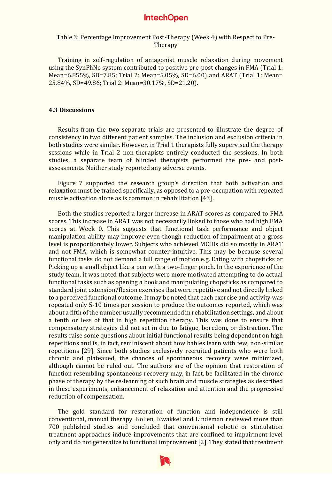#### Table 3: Percentage Improvement Post-Therapy (Week 4) with Respect to Pre-**Therapy**

Training in self-regulation of antagonist muscle relaxation during movement using the SynPhNe system contributed to positive pre-post changes in FMA (Trial 1: Mean=6.855%, SD=7.85; Trial 2: Mean=5.05%, SD=6.00) and ARAT (Trial 1: Mean= 25.84%, SD=49.86; Trial 2: Mean=30.17%, SD=21.20).

#### **4.3 Discussions**

Results from the two separate trials are presented to illustrate the degree of consistency in two different patient samples. The inclusion and exclusion criteria in both studies were similar. However, in Trial 1 therapists fully supervised the therapy sessions while in Trial 2 non-therapists entirely conducted the sessions. In both studies, a separate team of blinded therapists performed the pre- and postassessments. Neither study reported any adverse events.

Figure 7 supported the research group's direction that both activation and relaxation must be trained specifically, as opposed to a pre-occupation with repeated muscle activation alone as is common in rehabilitation [43].

Both the studies reported a larger increase in ARAT scores as compared to FMA scores. This increase in ARAT was not necessarily linked to those who had high FMA scores at Week 0. This suggests that functional task performance and object manipulation ability may improve even though reduction of impairment at a gross level is proportionately lower. Subjects who achieved MCIDs did so mostly in ARAT and not FMA, which is somewhat counter-intuitive. This may be because several functional tasks do not demand a full range of motion e.g. Eating with chopsticks or Picking up a small object like a pen with a two-finger pinch. In the experience of the study team, it was noted that subjects were more motivated attempting to do actual functional tasks such as opening a book and manipulating chopsticks as compared to standard joint extension/flexion exercises that were repetitive and not directly linked to a perceived functional outcome. It may be noted that each exercise and activity was repeated only 5-10 times per session to produce the outcomes reported, which was about a fifth of the number usually recommended in rehabilitation settings, and about a tenth or less of that in high repetition therapy. This was done to ensure that compensatory strategies did not set in due to fatigue, boredom, or distraction. The results raise some questions about initial functional results being dependent on high repetitions and is, in fact, reminiscent about how babies learn with few, non-similar repetitions [29]. Since both studies exclusively recruited patients who were both chronic and plateaued, the chances of spontaneous recovery were minimized, although cannot be ruled out. The authors are of the opinion that restoration of function resembling spontaneous recovery may, in fact, be facilitated in the chronic phase of therapy by the re-learning of such brain and muscle strategies as described in these experiments, enhancement of relaxation and attention and the progressive reduction of compensation.

The gold standard for restoration of function and independence is still conventional, manual therapy. Kollen, Kwakkel and Lindeman reviewed more than 700 published studies and concluded that conventional robotic or stimulation treatment approaches induce improvements that are confined to impairment level only and do not generalize to functional improvement [2]. They stated that treatment

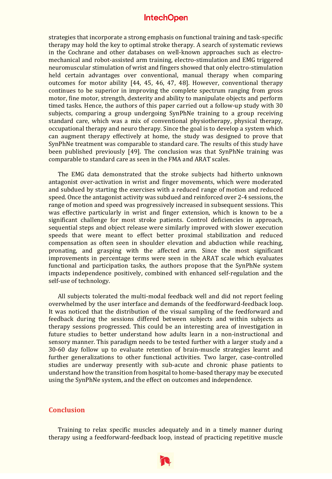strategies that incorporate a strong emphasis on functional training and task-specific therapy may hold the key to optimal stroke therapy. A search of systematic reviews in the Cochrane and other databases on well-known approaches such as electromechanical and robot-assisted arm training, electro-stimulation and EMG triggered neuromuscular stimulation of wrist and fingers showed that only electro-stimulation held certain advantages over conventional, manual therapy when comparing outcomes for motor ability [44, 45, 46, 47, 48]. However, conventional therapy continues to be superior in improving the complete spectrum ranging from gross motor, fine motor, strength, dexterity and ability to manipulate objects and perform timed tasks. Hence, the authors of this paper carried out a follow-up study with 30 subjects, comparing a group undergoing SynPhNe training to a group receiving standard care, which was a mix of conventional physiotherapy, physical therapy, occupational therapy and neuro therapy. Since the goal is to develop a system which can augment therapy effectively at home, the study was designed to prove that SynPhNe treatment was comparable to standard care. The results of this study have been published previously [49]. The conclusion was that SynPhNe training was comparable to standard care as seen in the FMA and ARAT scales.

The EMG data demonstrated that the stroke subjects had hitherto unknown antagonist over-activation in wrist and finger movements, which were moderated and subdued by starting the exercises with a reduced range of motion and reduced speed. Once the antagonist activity was subdued and reinforced over 2-4 sessions, the range of motion and speed was progressively increased in subsequent sessions. This was effective particularly in wrist and finger extension, which is known to be a significant challenge for most stroke patients. Control deficiencies in approach, sequential steps and object release were similarly improved with slower execution speeds that were meant to effect better proximal stabilization and reduced compensation as often seen in shoulder elevation and abduction while reaching, pronating, and grasping with the affected arm. Since the most significant improvements in percentage terms were seen in the ARAT scale which evaluates functional and participation tasks, the authors propose that the SynPhNe system impacts independence positively, combined with enhanced self-regulation and the self-use of technology.

All subjects tolerated the multi-modal feedback well and did not report feeling overwhelmed by the user interface and demands of the feedforward-feedback loop. It was noticed that the distribution of the visual sampling of the feedforward and feedback during the sessions differed between subjects and within subjects as therapy sessions progressed. This could be an interesting area of investigation in future studies to better understand how adults learn in a non-instructional and sensory manner. This paradigm needs to be tested further with a larger study and a 30-60 day follow up to evaluate retention of brain-muscle strategies learnt and further generalizations to other functional activities. Two larger, case-controlled studies are underway presently with sub-acute and chronic phase patients to understand how the transition from hospital to home-based therapy may be executed using the SynPhNe system, and the effect on outcomes and independence.

## **Conclusion**

Training to relax specific muscles adequately and in a timely manner during therapy using a feedforward-feedback loop, instead of practicing repetitive muscle

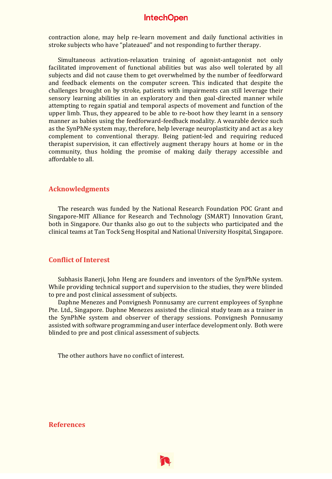contraction alone, may help re-learn movement and daily functional activities in stroke subjects who have "plateaued" and not responding to further therapy.

Simultaneous activation-relaxation training of agonist-antagonist not only facilitated improvement of functional abilities but was also well tolerated by all subjects and did not cause them to get overwhelmed by the number of feedforward and feedback elements on the computer screen. This indicated that despite the challenges brought on by stroke, patients with impairments can still leverage their sensory learning abilities in an exploratory and then goal-directed manner while attempting to regain spatial and temporal aspects of movement and function of the upper limb. Thus, they appeared to be able to re-boot how they learnt in a sensory manner as babies using the feedforward-feedback modality. A wearable device such as the SynPhNe system may, therefore, help leverage neuroplasticity and act as a key complement to conventional therapy. Being patient-led and requiring reduced therapist supervision, it can effectively augment therapy hours at home or in the community, thus holding the promise of making daily therapy accessible and affordable to all.

#### **Acknowledgments**

The research was funded by the National Research Foundation POC Grant and Singapore-MIT Alliance for Research and Technology (SMART) Innovation Grant, both in Singapore. Our thanks also go out to the subjects who participated and the clinical teams at Tan Tock Seng Hospital and National University Hospital, Singapore.

#### **Conflict of Interest**

Subhasis Banerji, John Heng are founders and inventors of the SynPhNe system. While providing technical support and supervision to the studies, they were blinded to pre and post clinical assessment of subjects.

Daphne Menezes and Ponvignesh Ponnusamy are current employees of Synphne Pte. Ltd., Singapore. Daphne Menezes assisted the clinical study team as a trainer in the SynPhNe system and observer of therapy sessions. Ponvignesh Ponnusamy assisted with software programming and user interface development only. Both were blinded to pre and post clinical assessment of subjects.

The other authors have no conflict of interest.

#### **References**

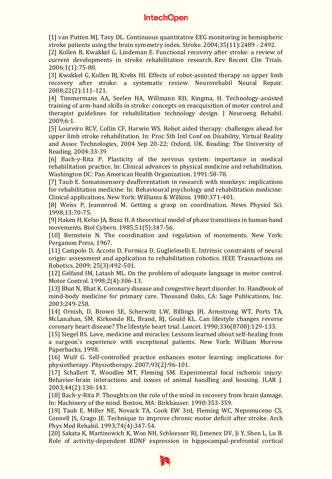[1] van Putten MJ, Tavy DL. Continuous quantitative EEG monitoring in hemispheric stroke patients using the brain symmetry index. Stroke. 2004;35(11):2489 - 2492.

[2] Kollen B, Kwakkel G, Lindeman E. Functional recovery after stroke: a review of current developments in stroke rehabilitation research. Rev Recent Clin Trials. 2006;1(1):75-80.

[3] Kwakkel G, Kollen BJ, Krebs HI. Effects of robot-assisted therapy on upper limb recovery after stroke: a systematic review. Neurorehabil Neural Repair. 2008;22(2):111-121.

[4] Timmermans AA, Seelen HA, Willmann RD, Kingma, H. Technology-assisted training of arm-hand skills in stroke: concepts on reacquisition of motor control and therapist guidelines for rehabilitation technology design. J Neuroeng Rehabil. 2009;6:1.

[5] Loureiro RCV, Collin CF, Harwin WS. Robot aided therapy: challenges ahead for upper limb stroke rehabilitation. In: Proc 5th Intl Conf on Disability, Virtual Reality and Assoc Technologies, 2004 Sep 20-22; Oxford, UK. Reading: The University of Reading. 2004:33-39

[6] Bach-y-Rita P. Plasticity of the nervous system: importance in medical rehabilitation practice. In: Clinical advances in physical medicine and rehabilitation. Washington DC: Pan American Health Organization. 1991:58-78.

[7] Taub E. Somatosensory deafferentation in research with monkeys: implications for rehabilitation medicine. In: Behavioural psychology and rehabilitation medicine: Clinical applications. New York: Williams & Wilkins. 1980:371-401.

[8] Weiss P, Jeannerod M. Getting a grasp on coordination. News Physiol Sci. 1998;13:70-75.

[9] Haken H, Kelso JA, Bunz H. A theoretical model of phase transitions in human hand movements. Biol Cybern. 1985;51(5):347-56.

[10] Bernstein N. The coordination and regulation of movements. New York: Pergamon Press, 1967.

[11] Campolo D, Accoto D, Formica D, Guglielmelli E. Intrinsic constraints of neural origin: assessment and application to rehabilitation robotics. IEEE Transactions on Robotics. 2009; 25(3):492-501.

[12] Gelfand IM, Latash ML. On the problem of adequate language in motor control. Motor Control. 1998;2(4):306-13.

[13] Bhat N, Bhat K. Coronary disease and congestive heart disorder. In: Handbook of mind-body medicine for primary care. Thousand Oaks, CA: Sage Publications, Inc. 2003:249-258.

[14] Ornish, D, Brown SE, Scherwitz LW, Billings JH, Armstrong WT, Ports TA, McLanahan, SM, Kirkeeide RL, Brand, RJ, Gould KL. Can lifestyle changes reverse coronary heart disease? The lifestyle heart trial. Lancet. 1990;336(8708):129-133.

[15] Siegel BS. Love, medicine and miracles: Lessons learned about self-healing from a surgeon's experience with exceptional patients. New York: William Morrow Paperbacks, 1998.

[16] Wulf G. Self-controlled practice enhances motor learning: implications for physiotherapy. Physiotherapy. 2007;93(2):96-101.

[17] Schallert T, Woodlee MT, Fleming SM. Experimental focal ischemic injury: Behavior-brain interactions and issues of animal handling and housing. ILAR J. 2003;44(2):130-143.

[18] Bach-y-Rita P. Thoughts on the role of the mind in recovery from brain damage. In: Machinery of the mind. Boston, MA: Birkhäuser. 1990:353-359.

[19] Taub E, Miller NE, Novack TA, Cook EW 3rd, Fleming WC, Nepomuceno CS, Connell JS, Crago JE. Technique to improve chronic motor deficit after stroke. Arch Phys Med Rehabil. 1993;74(4):347-54.

[20] Sakata K, Martinowich K, Woo NH, Schloesser RJ, Jimenez DV, Ji Y, Shen L, Lu B. Role of activity-dependent BDNF expression in hippocampal-prefrontal cortical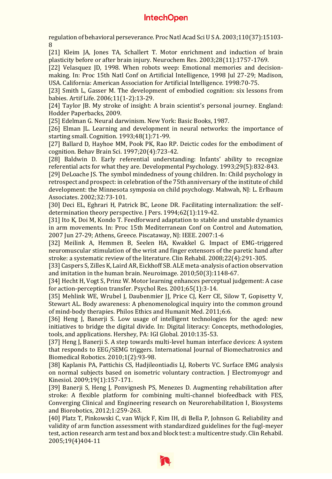regulation of behavioral perseverance. Proc Natl Acad Sci U S A. 2003;110(37):15103- 8

[21] Kleim JA, Jones TA, Schallert T. Motor enrichment and induction of brain plasticity before or after brain injury. Neurochem Res. 2003;28(11):1757-1769.

[22] Velasquez JD, 1998. When robots weep: Emotional memories and decisionmaking. In: Proc 15th Natl Conf on Artificial Intelligence, 1998 Jul 27-29; Madison, USA. California: American Association for Artificial Intelligence. 1998:70-75.

[23] Smith L, Gasser M. The development of embodied cognition: six lessons from babies. Artif Life. 2006;11(1-2):13-29.

[24] Taylor JB. My stroke of insight: A brain scientist's personal journey. England: Hodder Paperbacks, 2009.

[25] Edelman G. Neural darwinism. New York: Basic Books, 1987.

[26] Elman JL. Learning and development in neural networks: the importance of starting small. Cognition. 1993;48(1):71-99.

[27] Ballard D, Hayhoe MM, Pook PK, Rao RP. Deictic codes for the embodiment of cognition. Behav Brain Sci. 1997;20(4):723-42.

[28] Baldwin D. Early referential understanding: Infants' ability to recognize referential acts for what they are. Developmental Psychology. 1993;29(5):832-843.

[29] DeLoache JS. The symbol mindedness of young children. In: Child psychology in retrospect and prospect: in celebration of the 75th anniversary of the institute of child development: the Minnesota symposia on child psychology. Mahwah, NJ: L. Erlbaum Associates. 2002;32:73-101.

[30] Deci EL, Eghrari H, Patrick BC, Leone DR. Facilitating internalization: the selfdetermination theory perspective. J Pers. 1994;62(1):119-42.

[31] Ito K, Doi M, Kondo T. Feedforward adaptation to stable and unstable dynamics in arm movements. In: Proc 15th Mediterranean Conf on Control and Automation, 2007 Jun 27-29; Athens, Greece. Piscataway, NJ: IEEE. 2007:1-6

[32] Meilink A, Hemmen B, Seelen HA, Kwakkel G. Impact of EMG-triggered neuromuscular stimulation of the wrist and finger extensors of the paretic hand after stroke: a systematic review of the literature. Clin Rehabil. 2008;22(4):291-305.

[33] Caspers S, Zilles K, Laird AR, Eickhoff SB. ALE meta-analysis of action observation and imitation in the human brain. Neuroimage. 2010;50(3):1148-67.

[34] Hecht H, Vogt S, Prinz W. Motor learning enhances perceptual judgement: A case for action-perception transfer. Psychol Res. 2001;65(1):3-14.

[35] Mehlink WE, Wrubel J, Daubenmier JJ, Price CJ, Kerr CE, Silow T, Gopisetty V, Stewart AL. Body awareness: A phenomenological inquiry into the common ground of mind-body therapies. Philos Ethics and Humanit Med. 2011;6:6.

[36] Heng J, Banerji S. Low usage of intelligent technologies for the aged: new initiatives to bridge the digital divide. In: [Digital literacy: Concepts, methodologies,](https://www.igi-global.com/book/digital-literacy-concepts-methodologies-tools/63874)  [tools, and applications.](https://www.igi-global.com/book/digital-literacy-concepts-methodologies-tools/63874) Hershey, PA: IGI Global. 2010:135-53.

[37] Heng J, Banerji S. A step towards multi-level human interface devices: A system that responds to EEG/SEMG triggers. International Journal of Biomechatronics and Biomedical Robotics. 2010;1(2):93-98.

[38] Kaplanis PA, Pattichis CS, Hadjileontiadis LJ, Roberts VC. Surface EMG analysis on normal subjects based on isometric voluntary contraction. J Electromyogr and Kinesiol. 2009;19(1):157-171.

[39] Banerji S, Heng J, Ponvignesh PS, Menezes D. Augmenting rehabilitation after stroke: A flexible platform for combining multi-channel biofeedback with FES, Converging Clinical and Engineering research on Neurorehabilitation I, Biosystems and Biorobotics, 2012;1:259-263.

[40] [Platz](http://cre.sagepub.com/search?author1=Thomas+Platz&sortspec=date&submit=Submit) T, Pinkowski C, van Wijck F, Kim IH, di Bella P, Johnson G. Reliability and validity of arm function assessment with standardized guidelines for the fugl-meyer test, action research arm test and box and block test: a multicentre study. Clin Rehabil. 2005;19(4)404-11